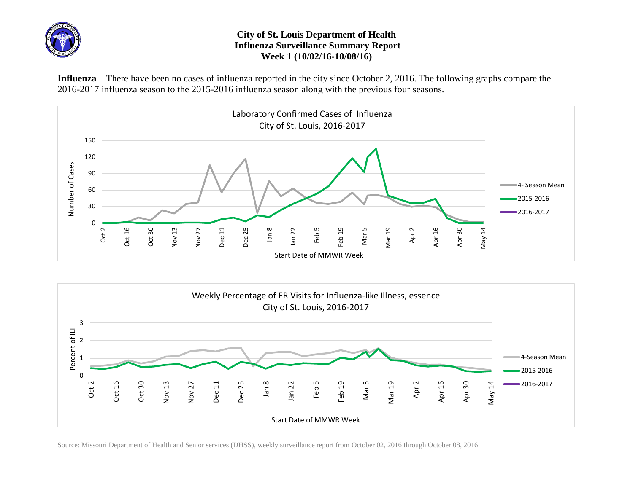

## **City of St. Louis Department of Health Influenza Surveillance Summary Report Week 1 (10/02/16-10/08/16)**

**Influenza** – There have been no cases of influenza reported in the city since October 2, 2016. The following graphs compare the 2016-2017 influenza season to the 2015-2016 influenza season along with the previous four seasons.





Source: Missouri Department of Health and Senior services (DHSS), weekly surveillance report from October 02, 2016 through October 08, 2016